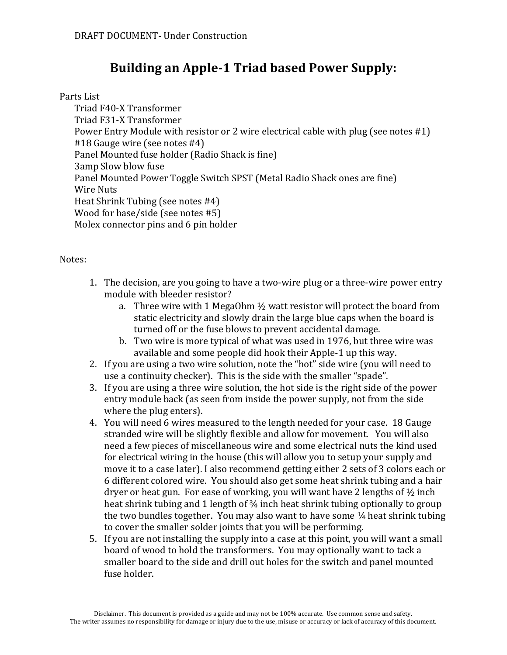# **Building an Apple-1 Triad based Power Supply:**

### Parts List

Triad F40-X Transformer Triad F31-X Transformer Power Entry Module with resistor or 2 wire electrical cable with plug (see notes  $#1$ ) #18 Gauge wire (see notes #4) Panel Mounted fuse holder (Radio Shack is fine) 3amp Slow blow fuse Panel Mounted Power Toggle Switch SPST (Metal Radio Shack ones are fine) Wire Nuts Heat Shrink Tubing (see notes #4) Wood for base/side (see notes  $#5$ ) Molex connector pins and 6 pin holder

#### Notes:

- 1. The decision, are you going to have a two-wire plug or a three-wire power entry module with bleeder resistor?
	- a. Three wire with 1 MegaOhm  $\frac{1}{2}$  watt resistor will protect the board from static electricity and slowly drain the large blue caps when the board is turned off or the fuse blows to prevent accidental damage.
	- b. Two wire is more typical of what was used in 1976, but three wire was available and some people did hook their Apple-1 up this way.
- 2. If you are using a two wire solution, note the "hot" side wire (you will need to use a continuity checker). This is the side with the smaller "spade".
- 3. If you are using a three wire solution, the hot side is the right side of the power entry module back (as seen from inside the power supply, not from the side where the plug enters).
- 4. You will need 6 wires measured to the length needed for your case. 18 Gauge stranded wire will be slightly flexible and allow for movement. You will also need a few pieces of miscellaneous wire and some electrical nuts the kind used for electrical wiring in the house (this will allow you to setup your supply and move it to a case later). I also recommend getting either 2 sets of 3 colors each or 6 different colored wire. You should also get some heat shrink tubing and a hair dryer or heat gun. For ease of working, you will want have 2 lengths of  $\frac{1}{2}$  inch heat shrink tubing and 1 length of 3/4 inch heat shrink tubing optionally to group the two bundles together. You may also want to have some  $\frac{1}{4}$  heat shrink tubing to cover the smaller solder joints that you will be performing.
- 5. If you are not installing the supply into a case at this point, you will want a small board of wood to hold the transformers. You may optionally want to tack a smaller board to the side and drill out holes for the switch and panel mounted fuse holder.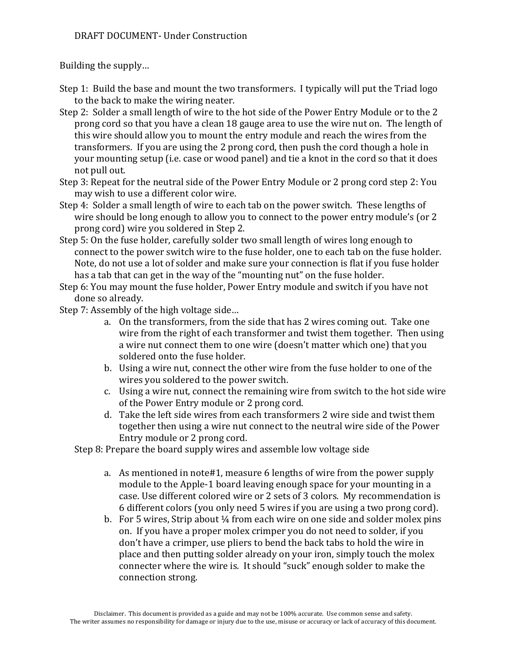## DRAFT DOCUMENT- Under Construction

Building the supply...

- Step 1: Build the base and mount the two transformers. I typically will put the Triad logo to the back to make the wiring neater.
- Step 2: Solder a small length of wire to the hot side of the Power Entry Module or to the 2 prong cord so that you have a clean 18 gauge area to use the wire nut on. The length of this wire should allow you to mount the entry module and reach the wires from the transformers. If you are using the 2 prong cord, then push the cord though a hole in your mounting setup (i.e. case or wood panel) and tie a knot in the cord so that it does not pull out.
- Step 3: Repeat for the neutral side of the Power Entry Module or 2 prong cord step 2: You may wish to use a different color wire.
- Step 4: Solder a small length of wire to each tab on the power switch. These lengths of wire should be long enough to allow you to connect to the power entry module's (or  $2$ ) prong cord) wire you soldered in Step 2.
- Step 5: On the fuse holder, carefully solder two small length of wires long enough to connect to the power switch wire to the fuse holder, one to each tab on the fuse holder. Note, do not use a lot of solder and make sure your connection is flat if you fuse holder has a tab that can get in the way of the "mounting nut" on the fuse holder.
- Step 6: You may mount the fuse holder, Power Entry module and switch if you have not done so already.
- Step 7: Assembly of the high voltage side...
	- a. On the transformers, from the side that has 2 wires coming out. Take one wire from the right of each transformer and twist them together. Then using a wire nut connect them to one wire (doesn't matter which one) that you soldered onto the fuse holder.
	- b. Using a wire nut, connect the other wire from the fuse holder to one of the wires you soldered to the power switch.
	- c. Using a wire nut, connect the remaining wire from switch to the hot side wire of the Power Entry module or 2 prong cord.
	- d. Take the left side wires from each transformers 2 wire side and twist them together then using a wire nut connect to the neutral wire side of the Power Entry module or 2 prong cord.

Step 8: Prepare the board supply wires and assemble low voltage side

- a. As mentioned in note#1, measure 6 lengths of wire from the power supply module to the Apple-1 board leaving enough space for your mounting in a case. Use different colored wire or 2 sets of 3 colors. My recommendation is 6 different colors (you only need 5 wires if you are using a two prong cord).
- b. For 5 wires, Strip about  $\frac{1}{4}$  from each wire on one side and solder molex pins on. If you have a proper molex crimper you do not need to solder, if you don't have a crimper, use pliers to bend the back tabs to hold the wire in place and then putting solder already on your iron, simply touch the molex connecter where the wire is. It should "suck" enough solder to make the connection strong.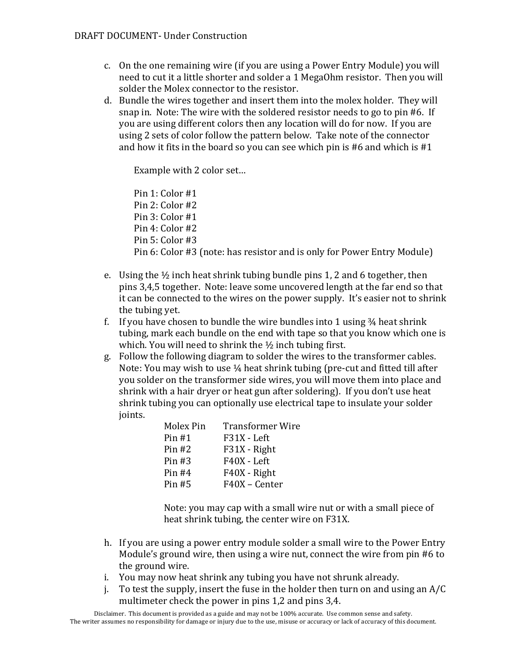- c. On the one remaining wire (if you are using a Power Entry Module) you will need to cut it a little shorter and solder a 1 MegaOhm resistor. Then you will solder the Molex connector to the resistor.
- d. Bundle the wires together and insert them into the molex holder. They will snap in. Note: The wire with the soldered resistor needs to go to pin #6. If you are using different colors then any location will do for now. If you are using 2 sets of color follow the pattern below. Take note of the connector and how it fits in the board so you can see which pin is #6 and which is  $#1$

Example with 2 color set...

Pin 1: Color #1 Pin 2: Color #2 Pin 3: Color #1 Pin 4: Color #2 Pin 5: Color #3 Pin 6: Color #3 (note: has resistor and is only for Power Entry Module)

- e. Using the  $\frac{1}{2}$  inch heat shrink tubing bundle pins 1, 2 and 6 together, then pins 3,4,5 together. Note: leave some uncovered length at the far end so that it can be connected to the wires on the power supply. It's easier not to shrink the tubing yet.
- f. If you have chosen to bundle the wire bundles into 1 using  $\frac{3}{4}$  heat shrink tubing, mark each bundle on the end with tape so that you know which one is which. You will need to shrink the  $\frac{1}{2}$  inch tubing first.
- g. Follow the following diagram to solder the wires to the transformer cables. Note: You may wish to use  $\frac{1}{4}$  heat shrink tubing (pre-cut and fitted till after you solder on the transformer side wires, you will move them into place and shrink with a hair dryer or heat gun after soldering). If you don't use heat shrink tubing you can optionally use electrical tape to insulate your solder joints.

| Molex Pin | <b>Transformer Wire</b> |
|-----------|-------------------------|
| Pin#1     | F31X - Left             |
| Pin#2     | F31X - Right            |
| Pin $#3$  | F40X - Left             |
| Pin $#4$  | F40X - Right            |
| $Pin$ #5  | F40X - Center           |

Note: you may cap with a small wire nut or with a small piece of heat shrink tubing, the center wire on F31X.

- h. If you are using a power entry module solder a small wire to the Power Entry Module's ground wire, then using a wire nut, connect the wire from pin  $#6$  to the ground wire.
- i. You may now heat shrink any tubing you have not shrunk already.
- j. To test the supply, insert the fuse in the holder then turn on and using an  $A/C$ multimeter check the power in pins 1,2 and pins 3,4.